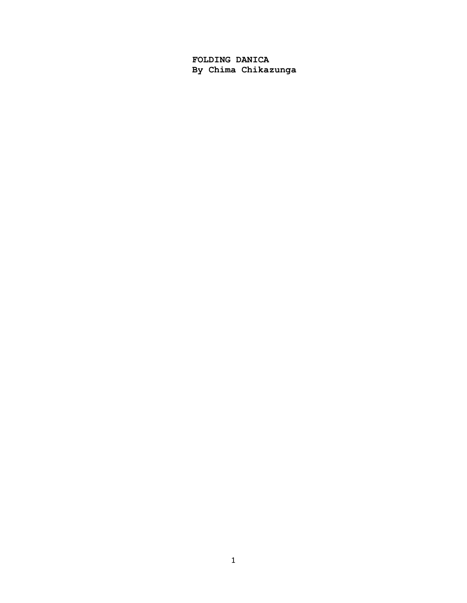**FOLDING DANICA By Chima Chikazunga**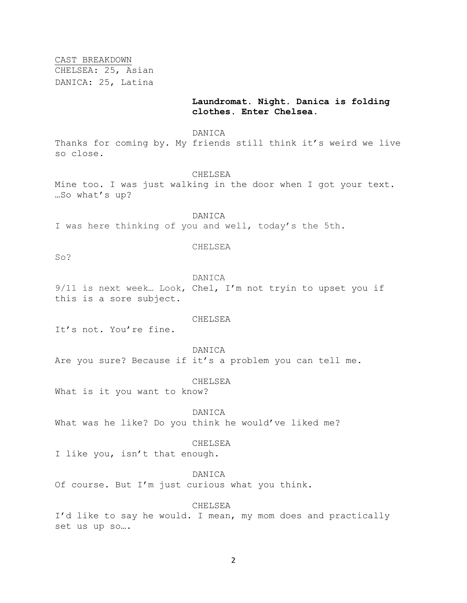CAST BREAKDOWN

CHELSEA: 25, Asian DANICA: 25, Latina

# **Laundromat. Night. Danica is folding clothes. Enter Chelsea.**

## DANICA

Thanks for coming by. My friends still think it's weird we live so close.

#### CHELSEA

Mine too. I was just walking in the door when I got your text. …So what's up?

DANICA I was here thinking of you and well, today's the 5th.

## CHELSEA

So?

#### DANICA

9/11 is next week… Look, Chel, I'm not tryin to upset you if this is a sore subject.

## CHELSEA

It's not. You're fine.

# DANICA

Are you sure? Because if it's a problem you can tell me.

# CHELSEA

What is it you want to know?

# DANICA

What was he like? Do you think he would've liked me?

## CHELSEA

I like you, isn't that enough.

## DANICA

Of course. But I'm just curious what you think.

# CHELSEA

I'd like to say he would. I mean, my mom does and practically set us up so….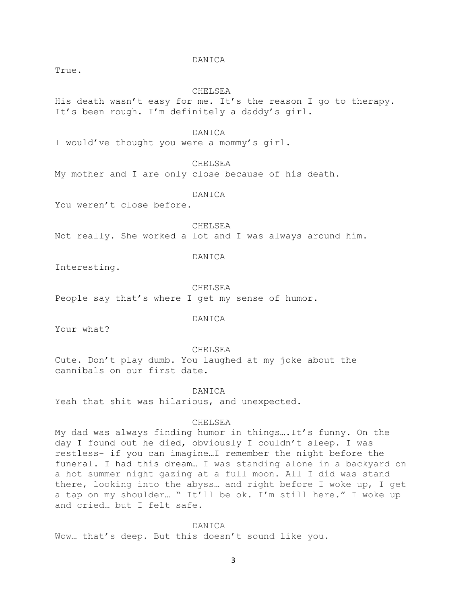## DANICA

True.

#### CHELSEA

His death wasn't easy for me. It's the reason I go to therapy. It's been rough. I'm definitely a daddy's girl.

#### DANICA

I would've thought you were a mommy's girl.

CHELSEA

My mother and I are only close because of his death.

## DANICA

You weren't close before.

CHELSEA

Not really. She worked a lot and I was always around him.

# DANICA

Interesting.

CHELSEA

People say that's where I get my sense of humor.

# DANICA

Your what?

#### CHELSEA

Cute. Don't play dumb. You laughed at my joke about the cannibals on our first date.

#### DANICA

Yeah that shit was hilarious, and unexpected.

## CHELSEA

My dad was always finding humor in things….It's funny. On the day I found out he died, obviously I couldn't sleep. I was restless- if you can imagine…I remember the night before the funeral. I had this dream… I was standing alone in a backyard on a hot summer night gazing at a full moon. All I did was stand there, looking into the abyss… and right before I woke up, I get a tap on my shoulder… " It'll be ok. I'm still here." I woke up and cried… but I felt safe.

#### DANICA

Wow… that's deep. But this doesn't sound like you.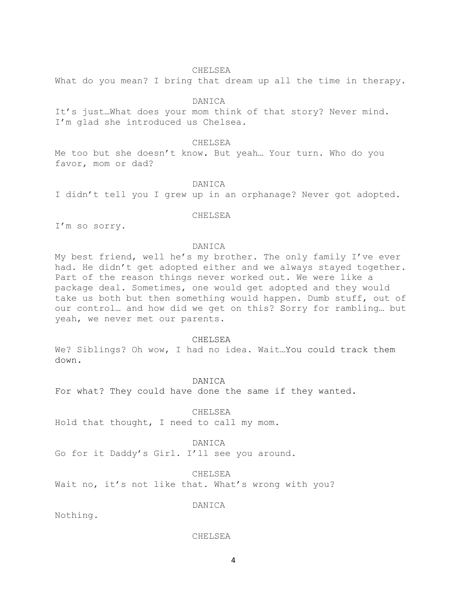#### CHELSEA

What do you mean? I bring that dream up all the time in therapy.

# DANICA

It's just…What does your mom think of that story? Never mind. I'm glad she introduced us Chelsea.

# CHELSEA

Me too but she doesn't know. But yeah… Your turn. Who do you favor, mom or dad?

# DANICA

I didn't tell you I grew up in an orphanage? Never got adopted.

## CHELSEA

I'm so sorry.

## DANICA

My best friend, well he's my brother. The only family I've ever had. He didn't get adopted either and we always stayed together. Part of the reason things never worked out. We were like a package deal. Sometimes, one would get adopted and they would take us both but then something would happen. Dumb stuff, out of our control… and how did we get on this? Sorry for rambling… but yeah, we never met our parents.

# CHELSEA

We? Siblings? Oh wow, I had no idea. Wait...You could track them down.

#### DANICA

For what? They could have done the same if they wanted.

#### CHELSEA

Hold that thought, I need to call my mom.

# DANICA

Go for it Daddy's Girl. I'll see you around.

#### CHELSEA

Wait no, it's not like that. What's wrong with you?

DANICA

Nothing.

## CHELSEA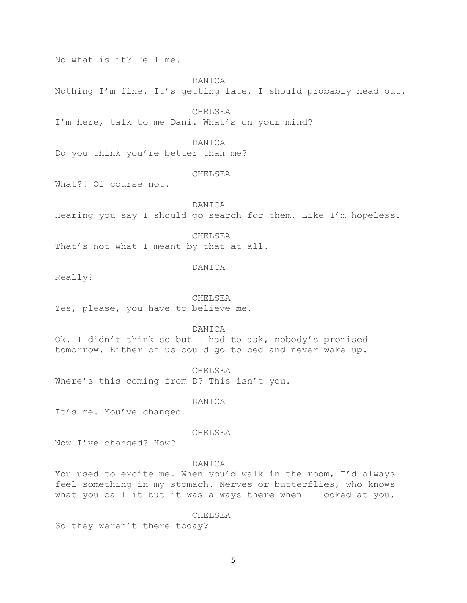No what is it? Tell me.

# DANICA

Nothing I'm fine. It's getting late. I should probably head out.

CHELSEA

I'm here, talk to me Dani. What's on your mind?

DANICA

Do you think you're better than me?

# CHELSEA

What?! Of course not.

DANICA Hearing you say I should go search for them. Like I'm hopeless.

CHELSEA

That's not what I meant by that at all.

# DANICA

Really?

CHELSEA Yes, please, you have to believe me.

DANICA

Ok. I didn't think so but I had to ask, nobody's promised tomorrow. Either of us could go to bed and never wake up.

CHELSEA Where's this coming from D? This isn't you.

DANICA

It's me. You've changed.

## CHELSEA

Now I've changed? How?

## DANICA

You used to excite me. When you'd walk in the room, I'd always feel something in my stomach. Nerves or butterflies, who knows what you call it but it was always there when I looked at you.

CHELSEA

So they weren't there today?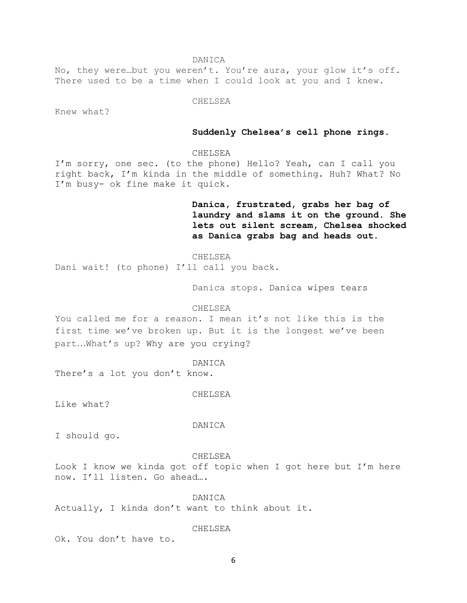DANICA

No, they were…but you weren't. You're aura, your glow it's off. There used to be a time when I could look at you and I knew.

CHELSEA

Knew what?

# **Suddenly Chelsea's cell phone rings.**

# CHELSEA

I'm sorry, one sec. (to the phone) Hello? Yeah, can I call you right back, I'm kinda in the middle of something. Huh? What? No I'm busy- ok fine make it quick.

> **Danica, frustrated, grabs her bag of laundry and slams it on the ground. She lets out silent scream, Chelsea shocked as Danica grabs bag and heads out.**

CHELSEA Dani wait! (to phone) I'll call you back.

Danica stops. Danica wipes tears

#### CHELSEA

You called me for a reason. I mean it's not like this is the first time we've broken up. But it is the longest we've been part…What's up? Why are you crying?

DANICA

There's a lot you don't know.

CHELSEA

Like what?

DANICA

I should go.

## CHELSEA

Look I know we kinda got off topic when I got here but I'm here now. I'll listen. Go ahead….

DANICA Actually, I kinda don't want to think about it.

CHELSEA

Ok. You don't have to.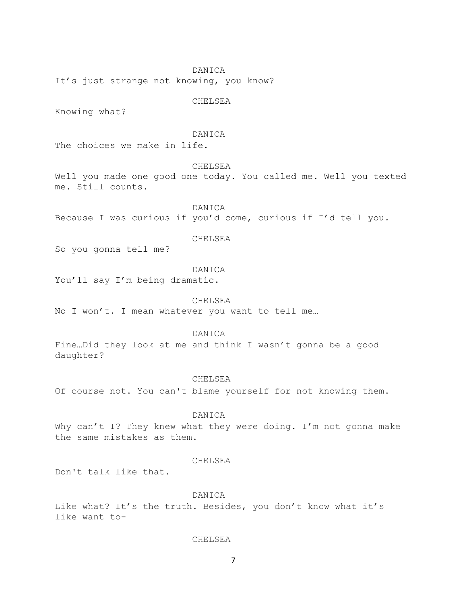DANICA

It's just strange not knowing, you know?

CHELSEA

Knowing what?

# DANICA

The choices we make in life.

CHELSEA

Well you made one good one today. You called me. Well you texted me. Still counts.

DANICA Because I was curious if you'd come, curious if I'd tell you.

CHELSEA

So you gonna tell me?

# DANICA

You'll say I'm being dramatic.

CHELSEA

No I won't. I mean whatever you want to tell me…

#### DANICA

Fine…Did they look at me and think I wasn't gonna be a good daughter?

# CHELSEA

Of course not. You can't blame yourself for not knowing them.

#### DANICA

Why can't I? They knew what they were doing. I'm not gonna make the same mistakes as them.

# CHELSEA

Don't talk like that.

# DANICA

Like what? It's the truth. Besides, you don't know what it's like want to-

# CHELSEA

7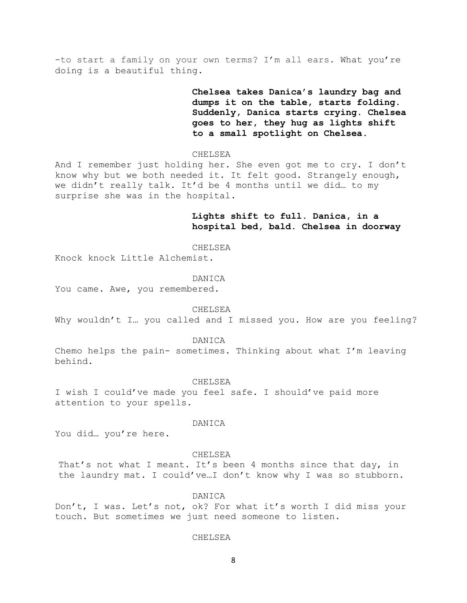-to start a family on your own terms? I'm all ears. What you're doing is a beautiful thing.

> **Chelsea takes Danica's laundry bag and dumps it on the table, starts folding. Suddenly, Danica starts crying. Chelsea goes to her, they hug as lights shift to a small spotlight on Chelsea.**

CHELSEA

And I remember just holding her. She even got me to cry. I don't know why but we both needed it. It felt good. Strangely enough, we didn't really talk. It'd be 4 months until we did… to my surprise she was in the hospital.

> **Lights shift to full. Danica, in a hospital bed, bald. Chelsea in doorway**

CHELSEA

Knock knock Little Alchemist.

#### DANICA

You came. Awe, you remembered.

## CHELSEA

Why wouldn't I… you called and I missed you. How are you feeling?

#### DANICA

Chemo helps the pain- sometimes. Thinking about what I'm leaving behind.

#### CHELSEA

I wish I could've made you feel safe. I should've paid more attention to your spells.

## DANICA

You did… you're here.

## CHELSEA

That's not what I meant. It's been 4 months since that day, in the laundry mat. I could've…I don't know why I was so stubborn.

#### DANICA

Don't, I was. Let's not, ok? For what it's worth I did miss your touch. But sometimes we just need someone to listen.

#### CHELSEA

8